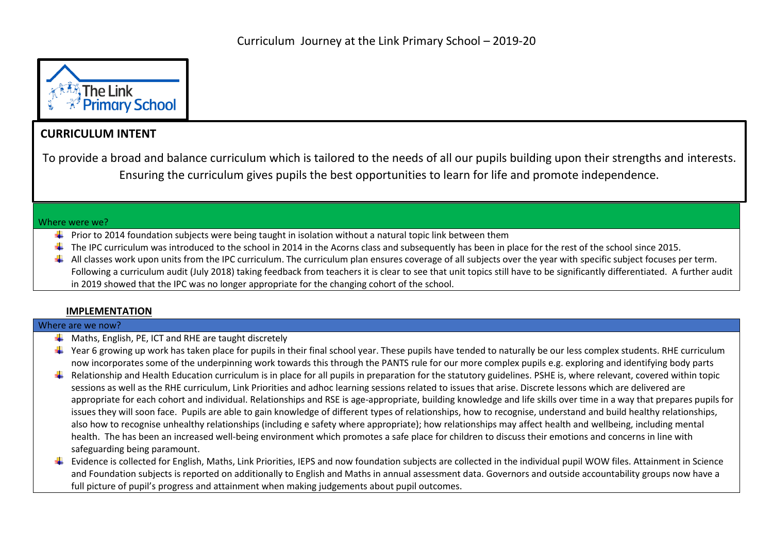

# **CURRICULUM INTENT**

To provide a broad and balance curriculum which is tailored to the needs of all our pupils building upon their strengths and interests. Ensuring the curriculum gives pupils the best opportunities to learn for life and promote independence.

#### Where were we?

- $\downarrow$  Prior to 2014 foundation subjects were being taught in isolation without a natural topic link between them
- $\ddot{\phantom{1}}$  The IPC curriculum was introduced to the school in 2014 in the Acorns class and subsequently has been in place for the rest of the school since 2015.
- $\ddot{\bullet}$  All classes work upon units from the IPC curriculum. The curriculum plan ensures coverage of all subjects over the year with specific subject focuses per term. Following a curriculum audit (July 2018) taking feedback from teachers it is clear to see that unit topics still have to be significantly differentiated. A further audit in 2019 showed that the IPC was no longer appropriate for the changing cohort of the school.

## **IMPLEMENTATION**

### Where are we now?

- $\bigstar$  Maths, English, PE, ICT and RHE are taught discretely
- $\ddot{\phantom{a}}$  Year 6 growing up work has taken place for pupils in their final school year. These pupils have tended to naturally be our less complex students. RHE curriculum now incorporates some of the underpinning work towards this through the PANTS rule for our more complex pupils e.g. exploring and identifying body parts
- Relationship and Health Education curriculum is in place for all pupils in preparation for the statutory guidelines. PSHE is, where relevant, covered within topic sessions as well as the RHE curriculum, Link Priorities and adhoc learning sessions related to issues that arise. Discrete lessons which are delivered are appropriate for each cohort and individual. Relationships and RSE is age-appropriate, building knowledge and life skills over time in a way that prepares pupils for issues they will soon face. Pupils are able to gain knowledge of different types of relationships, how to recognise, understand and build healthy relationships, also how to recognise unhealthy relationships (including e safety where appropriate); how relationships may affect health and wellbeing, including mental health. The has been an increased well-being environment which promotes a safe place for children to discuss their emotions and concerns in line with safeguarding being paramount.
- $\ddot{\bullet}$  Evidence is collected for English, Maths, Link Priorities, IEPS and now foundation subjects are collected in the individual pupil WOW files. Attainment in Science and Foundation subjects is reported on additionally to English and Maths in annual assessment data. Governors and outside accountability groups now have a full picture of pupil's progress and attainment when making judgements about pupil outcomes.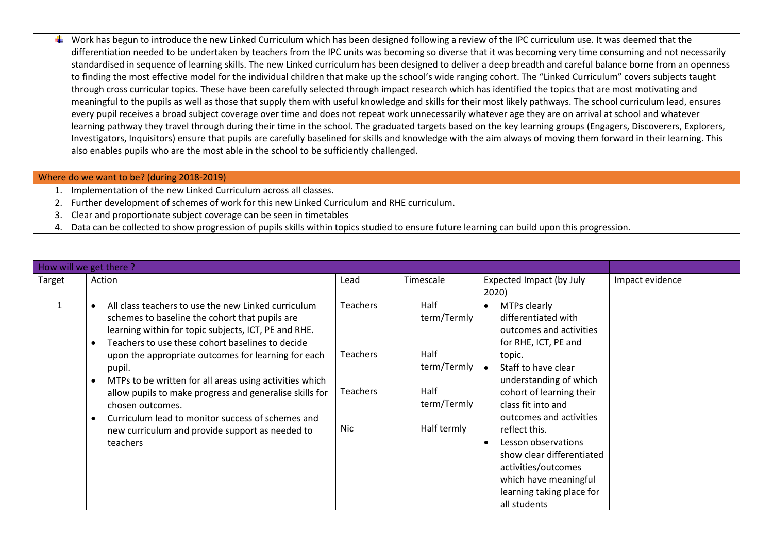Work has begun to introduce the new Linked Curriculum which has been designed following a review of the IPC curriculum use. It was deemed that the differentiation needed to be undertaken by teachers from the IPC units was becoming so diverse that it was becoming very time consuming and not necessarily standardised in sequence of learning skills. The new Linked curriculum has been designed to deliver a deep breadth and careful balance borne from an openness to finding the most effective model for the individual children that make up the school's wide ranging cohort. The "Linked Curriculum" covers subjects taught through cross curricular topics. These have been carefully selected through impact research which has identified the topics that are most motivating and meaningful to the pupils as well as those that supply them with useful knowledge and skills for their most likely pathways. The school curriculum lead, ensures every pupil receives a broad subject coverage over time and does not repeat work unnecessarily whatever age they are on arrival at school and whatever learning pathway they travel through during their time in the school. The graduated targets based on the key learning groups (Engagers, Discoverers, Explorers, Investigators, Inquisitors) ensure that pupils are carefully baselined for skills and knowledge with the aim always of moving them forward in their learning. This also enables pupils who are the most able in the school to be sufficiently challenged.

### Where do we want to be? (during 2018-2019)

- 1. Implementation of the new Linked Curriculum across all classes.
- 2. Further development of schemes of work for this new Linked Curriculum and RHE curriculum.
- 3. Clear and proportionate subject coverage can be seen in timetables
- 4. Data can be collected to show progression of pupils skills within topics studied to ensure future learning can build upon this progression.

| How will we get there? |                                                                                                                                                                                                                                                                                                                                                                                                                                                                                                                                                                                         |                                                              |                                                                                  |                                                                                                                                                                                                                                                                                                                                                                                                  |                 |
|------------------------|-----------------------------------------------------------------------------------------------------------------------------------------------------------------------------------------------------------------------------------------------------------------------------------------------------------------------------------------------------------------------------------------------------------------------------------------------------------------------------------------------------------------------------------------------------------------------------------------|--------------------------------------------------------------|----------------------------------------------------------------------------------|--------------------------------------------------------------------------------------------------------------------------------------------------------------------------------------------------------------------------------------------------------------------------------------------------------------------------------------------------------------------------------------------------|-----------------|
| Target                 | Action                                                                                                                                                                                                                                                                                                                                                                                                                                                                                                                                                                                  | Lead                                                         | Timescale                                                                        | Expected Impact (by July<br>2020)                                                                                                                                                                                                                                                                                                                                                                | Impact evidence |
| 1                      | All class teachers to use the new Linked curriculum<br>$\bullet$<br>schemes to baseline the cohort that pupils are<br>learning within for topic subjects, ICT, PE and RHE.<br>Teachers to use these cohort baselines to decide<br>$\bullet$<br>upon the appropriate outcomes for learning for each<br>pupil.<br>MTPs to be written for all areas using activities which<br>$\bullet$<br>allow pupils to make progress and generalise skills for<br>chosen outcomes.<br>Curriculum lead to monitor success of schemes and<br>new curriculum and provide support as needed to<br>teachers | <b>Teachers</b><br><b>Teachers</b><br>Teachers<br><b>Nic</b> | Half<br>term/Termly<br>Half<br>term/Termly<br>Half<br>term/Termly<br>Half termly | MTPs clearly<br>differentiated with<br>outcomes and activities<br>for RHE, ICT, PE and<br>topic.<br>Staff to have clear<br>understanding of which<br>cohort of learning their<br>class fit into and<br>outcomes and activities<br>reflect this.<br>Lesson observations<br>show clear differentiated<br>activities/outcomes<br>which have meaningful<br>learning taking place for<br>all students |                 |